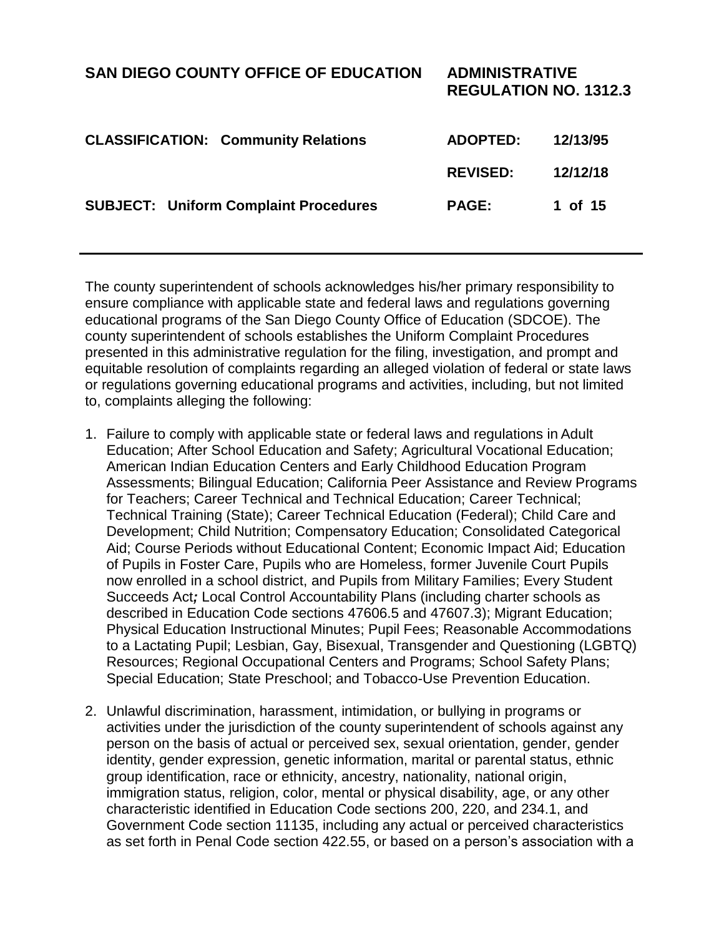| <b>SAN DIEGO COUNTY OFFICE OF EDUCATION</b>  | <b>ADMINISTRATIVE</b><br><b>REGULATION NO. 1312.3</b> |          |
|----------------------------------------------|-------------------------------------------------------|----------|
| <b>CLASSIFICATION: Community Relations</b>   | <b>ADOPTED:</b>                                       | 12/13/95 |
|                                              | <b>REVISED:</b>                                       | 12/12/18 |
| <b>SUBJECT: Uniform Complaint Procedures</b> | <b>PAGE:</b>                                          | 1 of 15  |

The county superintendent of schools acknowledges his/her primary responsibility to ensure compliance with applicable state and federal laws and regulations governing educational programs of the San Diego County Office of Education (SDCOE). The county superintendent of schools establishes the Uniform Complaint Procedures presented in this administrative regulation for the filing, investigation, and prompt and equitable resolution of complaints regarding an alleged violation of federal or state laws or regulations governing educational programs and activities, including, but not limited to, complaints alleging the following:

- 1. Failure to comply with applicable state or federal laws and regulations in Adult Education; After School Education and Safety; Agricultural Vocational Education; American Indian Education Centers and Early Childhood Education Program Assessments; Bilingual Education; California Peer Assistance and Review Programs for Teachers; Career Technical and Technical Education; Career Technical; Technical Training (State); Career Technical Education (Federal); Child Care and Development; Child Nutrition; Compensatory Education; Consolidated Categorical Aid; Course Periods without Educational Content; Economic Impact Aid; Education of Pupils in Foster Care, Pupils who are Homeless, former Juvenile Court Pupils now enrolled in a school district, and Pupils from Military Families; Every Student Succeeds Act*;* Local Control Accountability Plans (including charter schools as described in Education Code sections 47606.5 and 47607.3); Migrant Education; Physical Education Instructional Minutes; Pupil Fees; Reasonable Accommodations to a Lactating Pupil; Lesbian, Gay, Bisexual, Transgender and Questioning (LGBTQ) Resources; Regional Occupational Centers and Programs; School Safety Plans; Special Education; State Preschool; and Tobacco-Use Prevention Education.
- 2. Unlawful discrimination, harassment, intimidation, or bullying in programs or activities under the jurisdiction of the county superintendent of schools against any person on the basis of actual or perceived sex, sexual orientation, gender, gender identity, gender expression, genetic information, marital or parental status, ethnic group identification, race or ethnicity, ancestry, nationality, national origin, immigration status, religion, color, mental or physical disability, age, or any other characteristic identified in Education Code sections 200, 220, and 234.1, and Government Code section 11135, including any actual or perceived characteristics as set forth in Penal Code section 422.55, or based on a person's association with a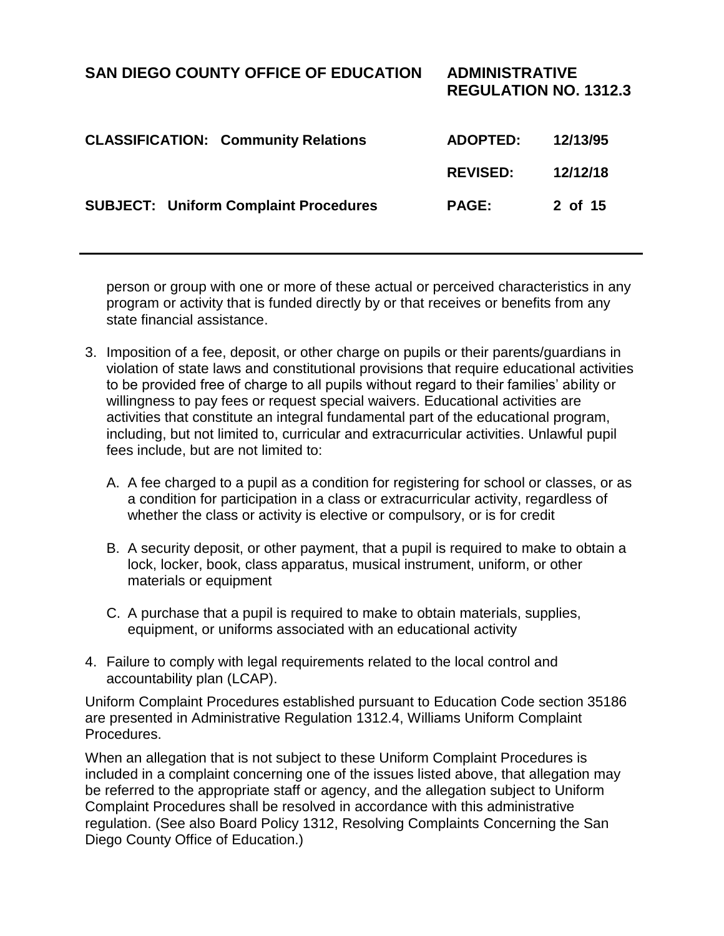**REGULATION NO. 1312.3**

| <b>CLASSIFICATION: Community Relations</b>   | <b>ADOPTED:</b> | 12/13/95 |
|----------------------------------------------|-----------------|----------|
|                                              | <b>REVISED:</b> | 12/12/18 |
| <b>SUBJECT: Uniform Complaint Procedures</b> | <b>PAGE:</b>    | 2 of 15  |

person or group with one or more of these actual or perceived characteristics in any program or activity that is funded directly by or that receives or benefits from any state financial assistance.

- 3. Imposition of a fee, deposit, or other charge on pupils or their parents/guardians in violation of state laws and constitutional provisions that require educational activities to be provided free of charge to all pupils without regard to their families' ability or willingness to pay fees or request special waivers. Educational activities are activities that constitute an integral fundamental part of the educational program, including, but not limited to, curricular and extracurricular activities. Unlawful pupil fees include, but are not limited to:
	- A. A fee charged to a pupil as a condition for registering for school or classes, or as a condition for participation in a class or extracurricular activity, regardless of whether the class or activity is elective or compulsory, or is for credit
	- B. A security deposit, or other payment, that a pupil is required to make to obtain a lock, locker, book, class apparatus, musical instrument, uniform, or other materials or equipment
	- C. A purchase that a pupil is required to make to obtain materials, supplies, equipment, or uniforms associated with an educational activity
- 4. Failure to comply with legal requirements related to the local control and accountability plan (LCAP).

Uniform Complaint Procedures established pursuant to Education Code section 35186 are presented in Administrative Regulation 1312.4, Williams Uniform Complaint Procedures.

When an allegation that is not subject to these Uniform Complaint Procedures is included in a complaint concerning one of the issues listed above, that allegation may be referred to the appropriate staff or agency, and the allegation subject to Uniform Complaint Procedures shall be resolved in accordance with this administrative regulation. (See also Board Policy 1312, Resolving Complaints Concerning the San Diego County Office of Education.)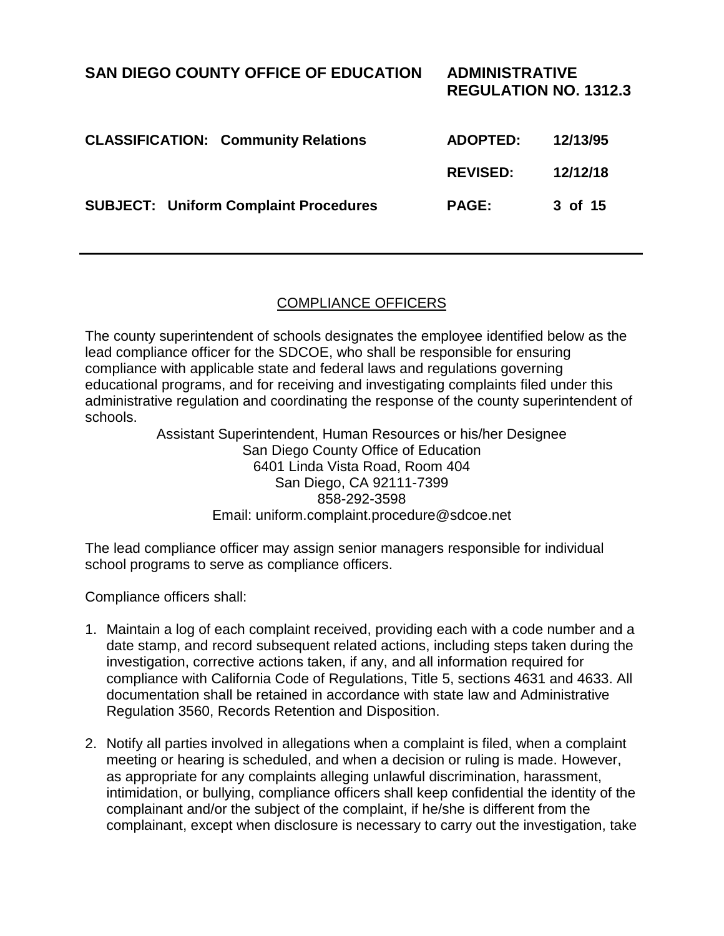| <b>SAN DIEGO COUNTY OFFICE OF EDUCATION</b>  | <b>ADMINISTRATIVE</b><br><b>REGULATION NO. 1312.3</b> |          |
|----------------------------------------------|-------------------------------------------------------|----------|
| <b>CLASSIFICATION: Community Relations</b>   | <b>ADOPTED:</b>                                       | 12/13/95 |
|                                              | <b>REVISED:</b>                                       | 12/12/18 |
| <b>SUBJECT: Uniform Complaint Procedures</b> | <b>PAGE:</b>                                          | 3 of 15  |

#### COMPLIANCE OFFICERS

The county superintendent of schools designates the employee identified below as the lead compliance officer for the SDCOE, who shall be responsible for ensuring compliance with applicable state and federal laws and regulations governing educational programs, and for receiving and investigating complaints filed under this administrative regulation and coordinating the response of the county superintendent of schools.

> Assistant Superintendent, Human Resources or his/her Designee San Diego County Office of Education 6401 Linda Vista Road, Room 404 San Diego, CA 92111-7399 858-292-3598 Email: uniform.complaint.procedure@sdcoe.net

The lead compliance officer may assign senior managers responsible for individual school programs to serve as compliance officers.

Compliance officers shall:

- 1. Maintain a log of each complaint received, providing each with a code number and a date stamp, and record subsequent related actions, including steps taken during the investigation, corrective actions taken, if any, and all information required for compliance with California Code of Regulations, Title 5, sections 4631 and 4633. All documentation shall be retained in accordance with state law and Administrative Regulation 3560, Records Retention and Disposition.
- 2. Notify all parties involved in allegations when a complaint is filed, when a complaint meeting or hearing is scheduled, and when a decision or ruling is made. However, as appropriate for any complaints alleging unlawful discrimination, harassment, intimidation, or bullying, compliance officers shall keep confidential the identity of the complainant and/or the subject of the complaint, if he/she is different from the complainant, except when disclosure is necessary to carry out the investigation, take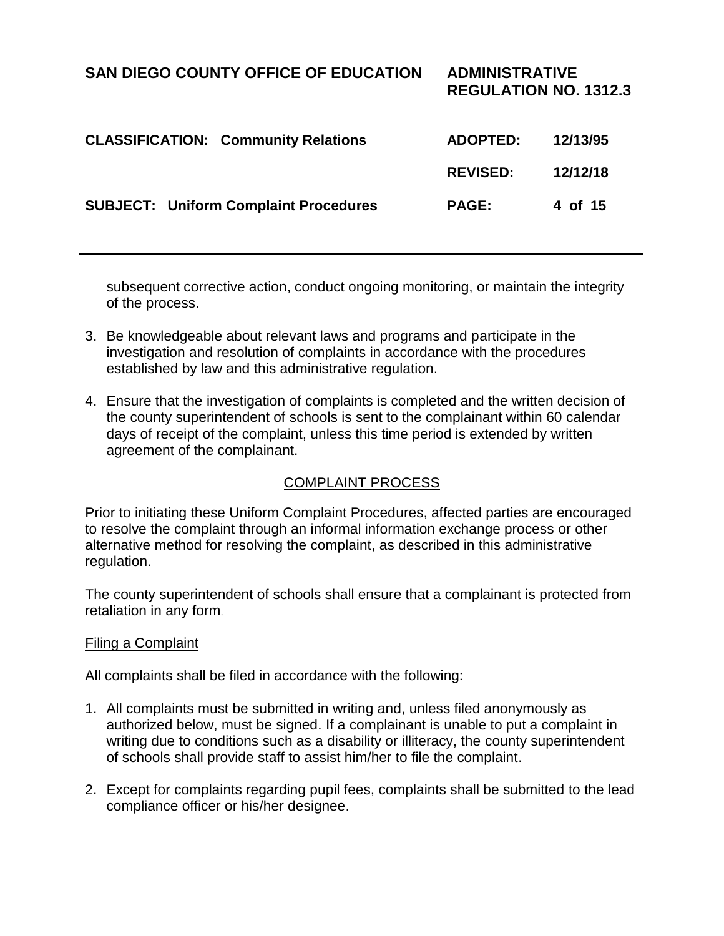**REGULATION NO. 1312.3**

| <b>CLASSIFICATION: Community Relations</b>   | <b>ADOPTED:</b> | 12/13/95 |
|----------------------------------------------|-----------------|----------|
|                                              | <b>REVISED:</b> | 12/12/18 |
| <b>SUBJECT: Uniform Complaint Procedures</b> | <b>PAGE:</b>    | 4 of 15  |

subsequent corrective action, conduct ongoing monitoring, or maintain the integrity of the process.

- 3. Be knowledgeable about relevant laws and programs and participate in the investigation and resolution of complaints in accordance with the procedures established by law and this administrative regulation.
- 4. Ensure that the investigation of complaints is completed and the written decision of the county superintendent of schools is sent to the complainant within 60 calendar days of receipt of the complaint, unless this time period is extended by written agreement of the complainant.

### COMPLAINT PROCESS

Prior to initiating these Uniform Complaint Procedures, affected parties are encouraged to resolve the complaint through an informal information exchange process or other alternative method for resolving the complaint, as described in this administrative regulation.

The county superintendent of schools shall ensure that a complainant is protected from retaliation in any form.

#### Filing a Complaint

All complaints shall be filed in accordance with the following:

- 1. All complaints must be submitted in writing and, unless filed anonymously as authorized below, must be signed. If a complainant is unable to put a complaint in writing due to conditions such as a disability or illiteracy, the county superintendent of schools shall provide staff to assist him/her to file the complaint.
- 2. Except for complaints regarding pupil fees, complaints shall be submitted to the lead compliance officer or his/her designee.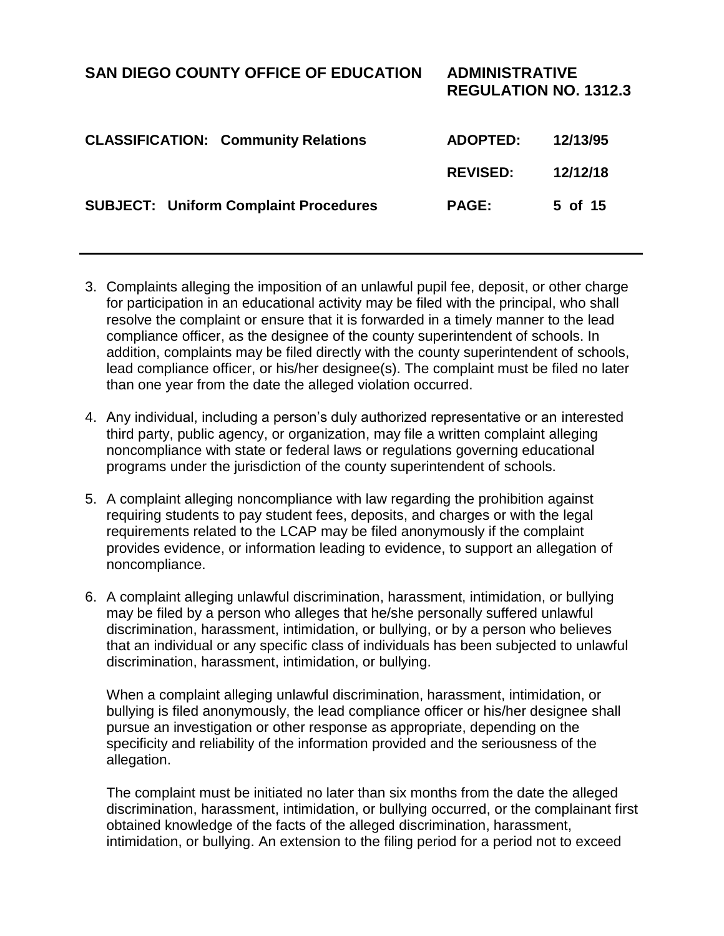# **SAN DIEGO COUNTY OFFICE OF EDUCATION ADMINISTRATIVE REGULATION NO. 1312.3 CLASSIFICATION: Community Relations ADOPTED: 12/13/95 REVISED: 12/12/18 SUBJECT: Uniform Complaint Procedures PAGE: 5 of 15**

- 3. Complaints alleging the imposition of an unlawful pupil fee, deposit, or other charge for participation in an educational activity may be filed with the principal, who shall resolve the complaint or ensure that it is forwarded in a timely manner to the lead compliance officer, as the designee of the county superintendent of schools. In addition, complaints may be filed directly with the county superintendent of schools, lead compliance officer, or his/her designee(s). The complaint must be filed no later than one year from the date the alleged violation occurred.
- 4. Any individual, including a person's duly authorized representative or an interested third party, public agency, or organization, may file a written complaint alleging noncompliance with state or federal laws or regulations governing educational programs under the jurisdiction of the county superintendent of schools.
- 5. A complaint alleging noncompliance with law regarding the prohibition against requiring students to pay student fees, deposits, and charges or with the legal requirements related to the LCAP may be filed anonymously if the complaint provides evidence, or information leading to evidence, to support an allegation of noncompliance.
- 6. A complaint alleging unlawful discrimination, harassment, intimidation, or bullying may be filed by a person who alleges that he/she personally suffered unlawful discrimination, harassment, intimidation, or bullying, or by a person who believes that an individual or any specific class of individuals has been subjected to unlawful discrimination, harassment, intimidation, or bullying.

When a complaint alleging unlawful discrimination, harassment, intimidation, or bullying is filed anonymously, the lead compliance officer or his/her designee shall pursue an investigation or other response as appropriate, depending on the specificity and reliability of the information provided and the seriousness of the allegation.

The complaint must be initiated no later than six months from the date the alleged discrimination, harassment, intimidation, or bullying occurred, or the complainant first obtained knowledge of the facts of the alleged discrimination, harassment, intimidation, or bullying. An extension to the filing period for a period not to exceed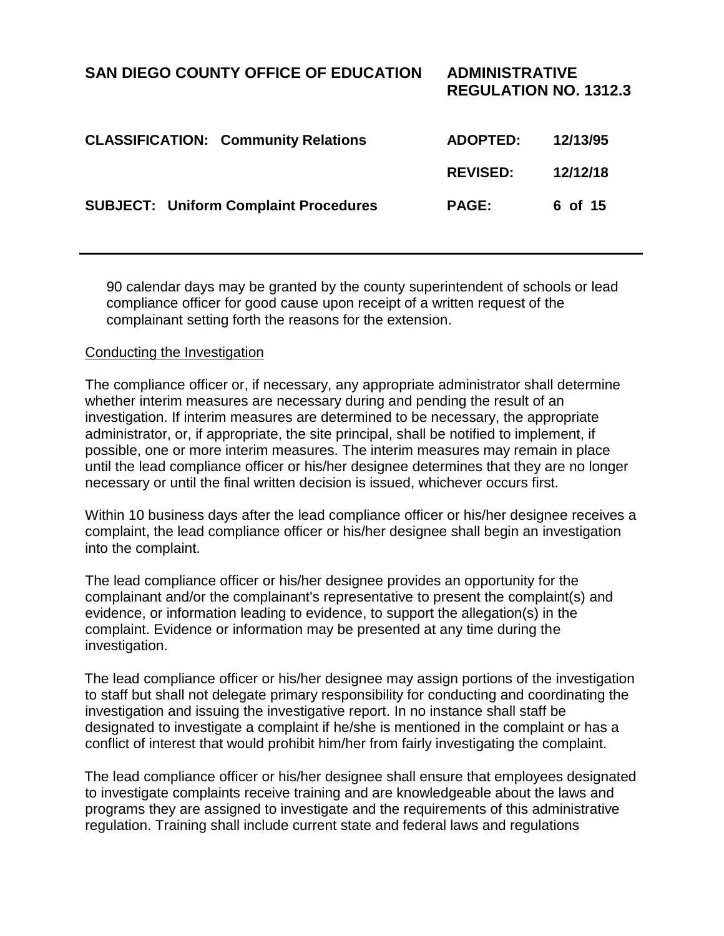**SUBJECT: Uniform Complaint Procedures PAGE: 6 of 15**

90 calendar days may be granted by the county superintendent of schools or lead compliance officer for good cause upon receipt of a written request of the complainant setting forth the reasons for the extension.

#### Conducting the Investigation

The compliance officer or, if necessary, any appropriate administrator shall determine whether interim measures are necessary during and pending the result of an investigation. If interim measures are determined to be necessary, the appropriate administrator, or, if appropriate, the site principal, shall be notified to implement, if possible, one or more interim measures. The interim measures may remain in place until the lead compliance officer or his/her designee determines that they are no longer necessary or until the final written decision is issued, whichever occurs first.

Within 10 business days after the lead compliance officer or his/her designee receives a complaint, the lead compliance officer or his/her designee shall begin an investigation into the complaint.

The lead compliance officer or his/her designee provides an opportunity for the complainant and/or the complainant's representative to present the complaint(s) and evidence, or information leading to evidence, to support the allegation(s) in the complaint. Evidence or information may be presented at any time during the investigation.

The lead compliance officer or his/her designee may assign portions of the investigation to staff but shall not delegate primary responsibility for conducting and coordinating the investigation and issuing the investigative report. In no instance shall staff be designated to investigate a complaint if he/she is mentioned in the complaint or has a conflict of interest that would prohibit him/her from fairly investigating the complaint.

The lead compliance officer or his/her designee shall ensure that employees designated to investigate complaints receive training and are knowledgeable about the laws and programs they are assigned to investigate and the requirements of this administrative regulation. Training shall include current state and federal laws and regulations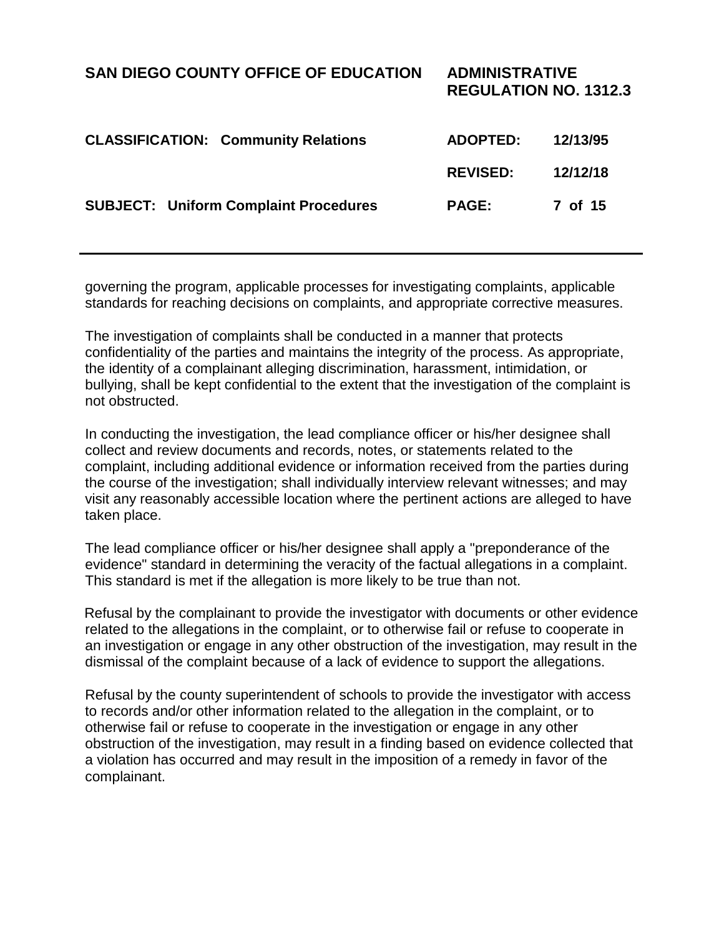governing the program, applicable processes for investigating complaints, applicable standards for reaching decisions on complaints, and appropriate corrective measures.

**SUBJECT: Uniform Complaint Procedures PAGE: 7 of 15**

The investigation of complaints shall be conducted in a manner that protects confidentiality of the parties and maintains the integrity of the process. As appropriate, the identity of a complainant alleging discrimination, harassment, intimidation, or bullying, shall be kept confidential to the extent that the investigation of the complaint is not obstructed.

In conducting the investigation, the lead compliance officer or his/her designee shall collect and review documents and records, notes, or statements related to the complaint, including additional evidence or information received from the parties during the course of the investigation; shall individually interview relevant witnesses; and may visit any reasonably accessible location where the pertinent actions are alleged to have taken place.

The lead compliance officer or his/her designee shall apply a "preponderance of the evidence" standard in determining the veracity of the factual allegations in a complaint. This standard is met if the allegation is more likely to be true than not.

Refusal by the complainant to provide the investigator with documents or other evidence related to the allegations in the complaint, or to otherwise fail or refuse to cooperate in an investigation or engage in any other obstruction of the investigation, may result in the dismissal of the complaint because of a lack of evidence to support the allegations.

Refusal by the county superintendent of schools to provide the investigator with access to records and/or other information related to the allegation in the complaint, or to otherwise fail or refuse to cooperate in the investigation or engage in any other obstruction of the investigation, may result in a finding based on evidence collected that a violation has occurred and may result in the imposition of a remedy in favor of the complainant.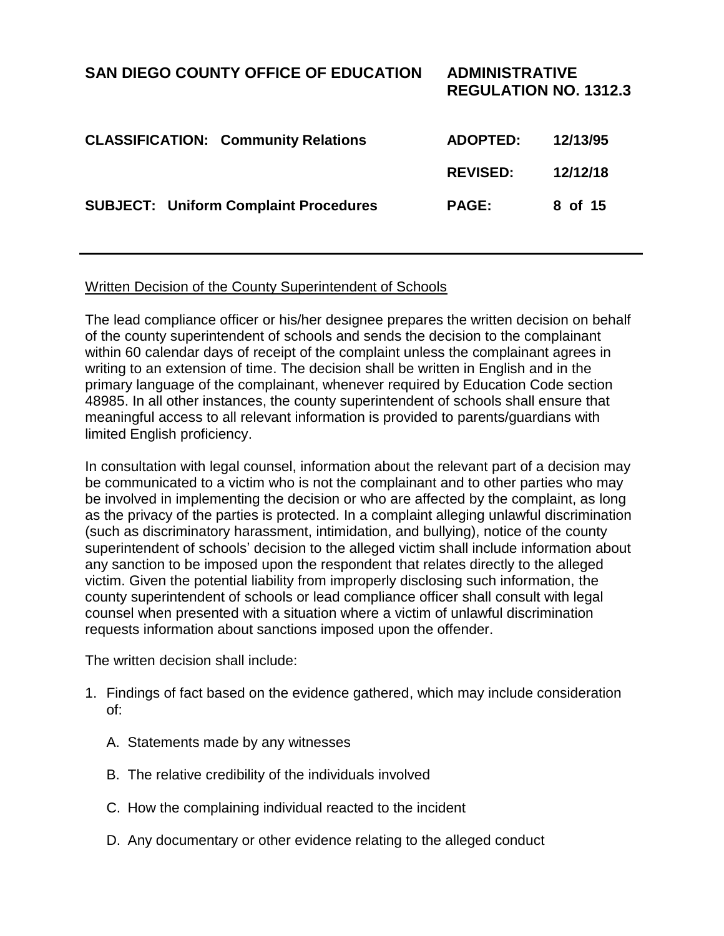# **SAN DIEGO COUNTY OFFICE OF EDUCATION ADMINISTRATIVE REGULATION NO. 1312.3 CLASSIFICATION: Community Relations ADOPTED: 12/13/95 REVISED: 12/12/18 SUBJECT: Uniform Complaint Procedures PAGE: 8 of 15**

### Written Decision of the County Superintendent of Schools

The lead compliance officer or his/her designee prepares the written decision on behalf of the county superintendent of schools and sends the decision to the complainant within 60 calendar days of receipt of the complaint unless the complainant agrees in writing to an extension of time. The decision shall be written in English and in the primary language of the complainant, whenever required by Education Code section 48985. In all other instances, the county superintendent of schools shall ensure that meaningful access to all relevant information is provided to parents/guardians with limited English proficiency.

In consultation with legal counsel, information about the relevant part of a decision may be communicated to a victim who is not the complainant and to other parties who may be involved in implementing the decision or who are affected by the complaint, as long as the privacy of the parties is protected. In a complaint alleging unlawful discrimination (such as discriminatory harassment, intimidation, and bullying), notice of the county superintendent of schools' decision to the alleged victim shall include information about any sanction to be imposed upon the respondent that relates directly to the alleged victim. Given the potential liability from improperly disclosing such information, the county superintendent of schools or lead compliance officer shall consult with legal counsel when presented with a situation where a victim of unlawful discrimination requests information about sanctions imposed upon the offender.

The written decision shall include:

- 1. Findings of fact based on the evidence gathered, which may include consideration of:
	- A. Statements made by any witnesses
	- B. The relative credibility of the individuals involved
	- C. How the complaining individual reacted to the incident
	- D. Any documentary or other evidence relating to the alleged conduct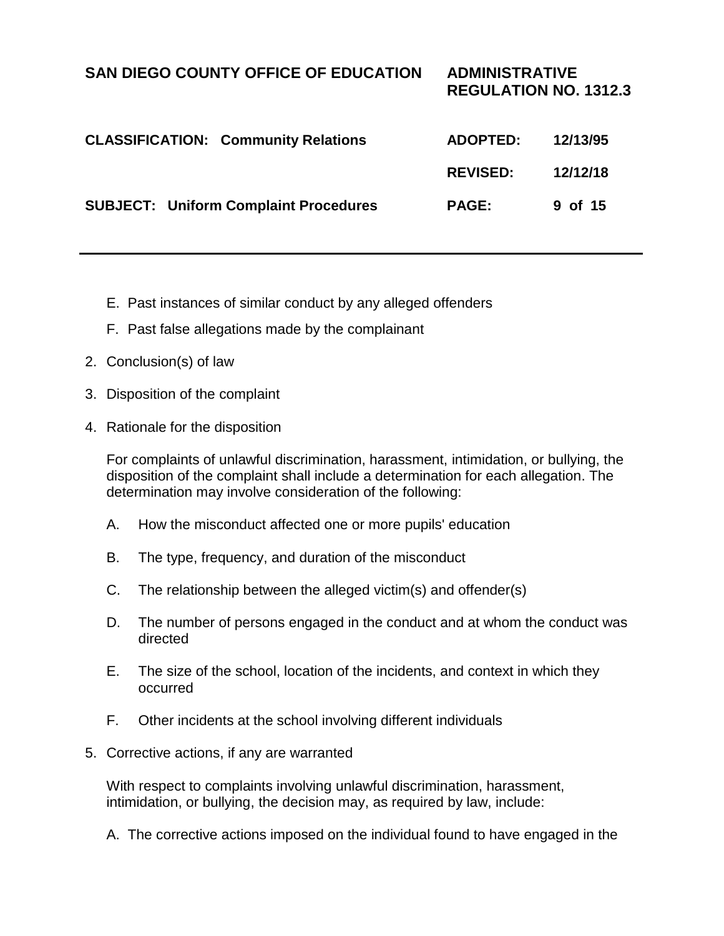| <b>SUBJECT: Uniform Complaint Procedures</b> | <b>PAGE:</b> | 9 of 15 |
|----------------------------------------------|--------------|---------|

- E. Past instances of similar conduct by any alleged offenders
- F. Past false allegations made by the complainant
- 2. Conclusion(s) of law
- 3. Disposition of the complaint
- 4. Rationale for the disposition

For complaints of unlawful discrimination, harassment, intimidation, or bullying, the disposition of the complaint shall include a determination for each allegation. The determination may involve consideration of the following:

- A. How the misconduct affected one or more pupils' education
- B. The type, frequency, and duration of the misconduct
- C. The relationship between the alleged victim(s) and offender(s)
- D. The number of persons engaged in the conduct and at whom the conduct was directed
- E. The size of the school, location of the incidents, and context in which they occurred
- F. Other incidents at the school involving different individuals
- 5. Corrective actions, if any are warranted

With respect to complaints involving unlawful discrimination, harassment, intimidation, or bullying, the decision may, as required by law, include:

A. The corrective actions imposed on the individual found to have engaged in the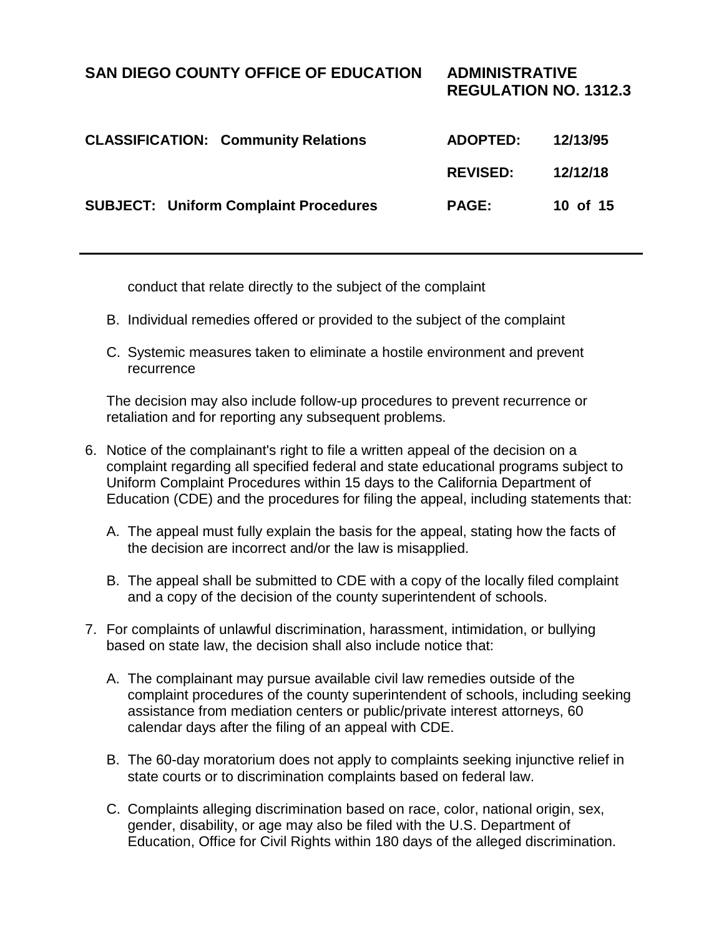| <b>SUBJECT: Uniform Complaint Procedures</b> | <b>PAGE:</b> | 10 of 15 |
|----------------------------------------------|--------------|----------|
|                                              |              |          |

conduct that relate directly to the subject of the complaint

- B. Individual remedies offered or provided to the subject of the complaint
- C. Systemic measures taken to eliminate a hostile environment and prevent recurrence

The decision may also include follow-up procedures to prevent recurrence or retaliation and for reporting any subsequent problems.

- 6. Notice of the complainant's right to file a written appeal of the decision on a complaint regarding all specified federal and state educational programs subject to Uniform Complaint Procedures within 15 days to the California Department of Education (CDE) and the procedures for filing the appeal, including statements that:
	- A. The appeal must fully explain the basis for the appeal, stating how the facts of the decision are incorrect and/or the law is misapplied.
	- B. The appeal shall be submitted to CDE with a copy of the locally filed complaint and a copy of the decision of the county superintendent of schools.
- 7. For complaints of unlawful discrimination, harassment, intimidation, or bullying based on state law, the decision shall also include notice that:
	- A. The complainant may pursue available civil law remedies outside of the complaint procedures of the county superintendent of schools, including seeking assistance from mediation centers or public/private interest attorneys, 60 calendar days after the filing of an appeal with CDE.
	- B. The 60-day moratorium does not apply to complaints seeking injunctive relief in state courts or to discrimination complaints based on federal law.
	- C. Complaints alleging discrimination based on race, color, national origin, sex, gender, disability, or age may also be filed with the U.S. Department of Education, Office for Civil Rights within 180 days of the alleged discrimination.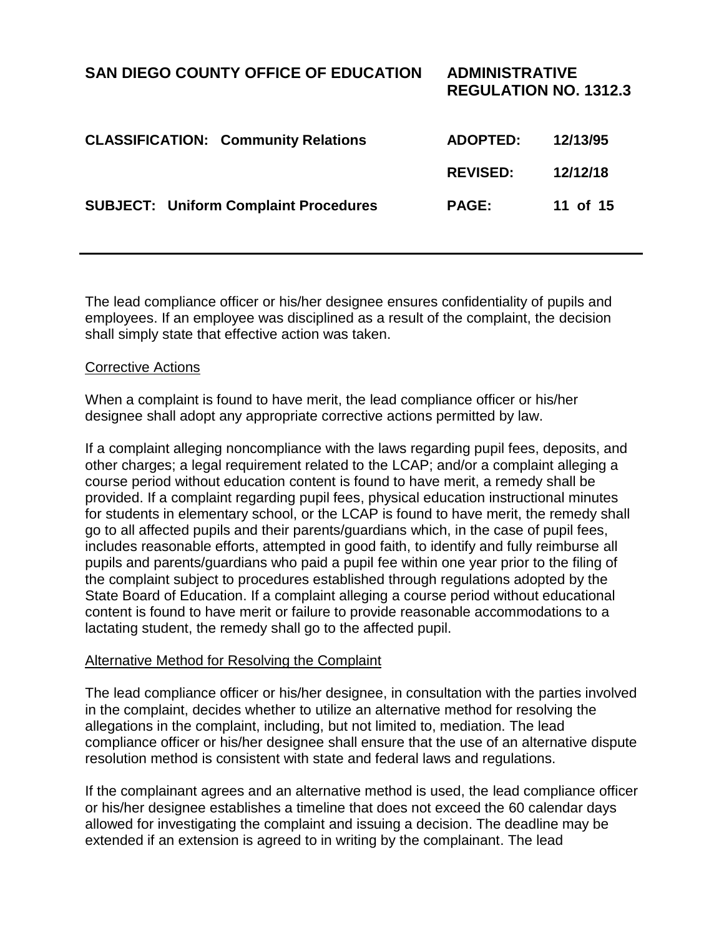**REGULATION NO. 1312.3**

| <b>CLASSIFICATION: Community Relations</b>   | <b>ADOPTED:</b> | 12/13/95 |
|----------------------------------------------|-----------------|----------|
|                                              | <b>REVISED:</b> | 12/12/18 |
| <b>SUBJECT: Uniform Complaint Procedures</b> | <b>PAGE:</b>    | 11 of 15 |

The lead compliance officer or his/her designee ensures confidentiality of pupils and employees. If an employee was disciplined as a result of the complaint, the decision shall simply state that effective action was taken.

#### Corrective Actions

When a complaint is found to have merit, the lead compliance officer or his/her designee shall adopt any appropriate corrective actions permitted by law.

If a complaint alleging noncompliance with the laws regarding pupil fees, deposits, and other charges; a legal requirement related to the LCAP; and/or a complaint alleging a course period without education content is found to have merit, a remedy shall be provided. If a complaint regarding pupil fees, physical education instructional minutes for students in elementary school, or the LCAP is found to have merit, the remedy shall go to all affected pupils and their parents/guardians which, in the case of pupil fees, includes reasonable efforts, attempted in good faith, to identify and fully reimburse all pupils and parents/guardians who paid a pupil fee within one year prior to the filing of the complaint subject to procedures established through regulations adopted by the State Board of Education. If a complaint alleging a course period without educational content is found to have merit or failure to provide reasonable accommodations to a lactating student, the remedy shall go to the affected pupil.

#### Alternative Method for Resolving the Complaint

The lead compliance officer or his/her designee, in consultation with the parties involved in the complaint, decides whether to utilize an alternative method for resolving the allegations in the complaint, including, but not limited to, mediation. The lead compliance officer or his/her designee shall ensure that the use of an alternative dispute resolution method is consistent with state and federal laws and regulations.

If the complainant agrees and an alternative method is used, the lead compliance officer or his/her designee establishes a timeline that does not exceed the 60 calendar days allowed for investigating the complaint and issuing a decision. The deadline may be extended if an extension is agreed to in writing by the complainant. The lead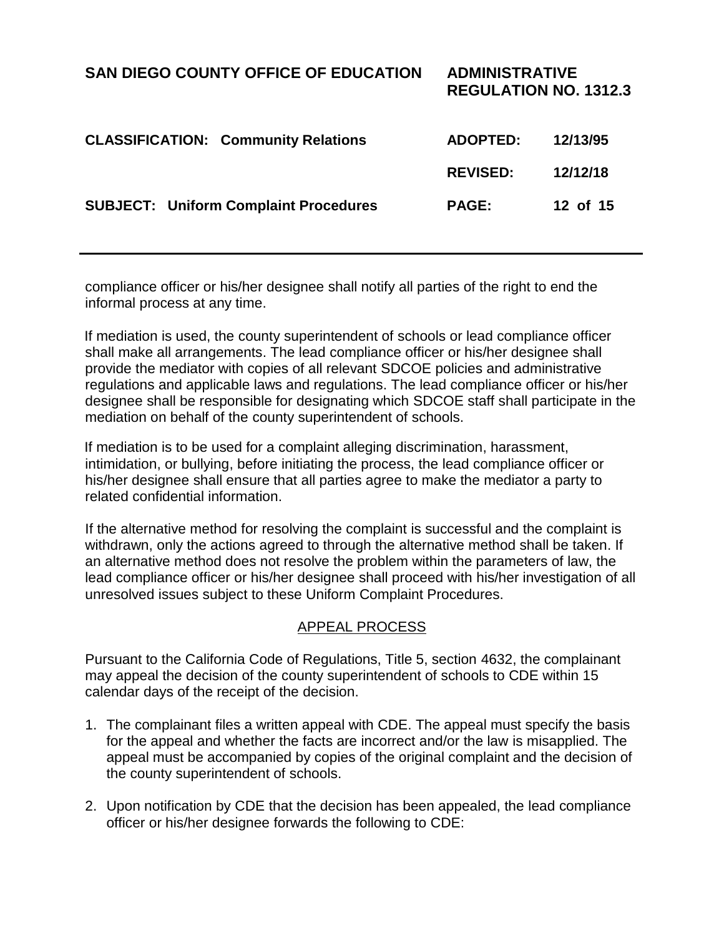**SUBJECT: Uniform Complaint Procedures PAGE: 12 of 15**

compliance officer or his/her designee shall notify all parties of the right to end the informal process at any time.

If mediation is used, the county superintendent of schools or lead compliance officer shall make all arrangements. The lead compliance officer or his/her designee shall provide the mediator with copies of all relevant SDCOE policies and administrative regulations and applicable laws and regulations. The lead compliance officer or his/her designee shall be responsible for designating which SDCOE staff shall participate in the mediation on behalf of the county superintendent of schools.

If mediation is to be used for a complaint alleging discrimination, harassment, intimidation, or bullying, before initiating the process, the lead compliance officer or his/her designee shall ensure that all parties agree to make the mediator a party to related confidential information.

If the alternative method for resolving the complaint is successful and the complaint is withdrawn, only the actions agreed to through the alternative method shall be taken. If an alternative method does not resolve the problem within the parameters of law, the lead compliance officer or his/her designee shall proceed with his/her investigation of all unresolved issues subject to these Uniform Complaint Procedures.

### APPEAL PROCESS

Pursuant to the California Code of Regulations, Title 5, section 4632, the complainant may appeal the decision of the county superintendent of schools to CDE within 15 calendar days of the receipt of the decision.

- 1. The complainant files a written appeal with CDE. The appeal must specify the basis for the appeal and whether the facts are incorrect and/or the law is misapplied. The appeal must be accompanied by copies of the original complaint and the decision of the county superintendent of schools.
- 2. Upon notification by CDE that the decision has been appealed, the lead compliance officer or his/her designee forwards the following to CDE: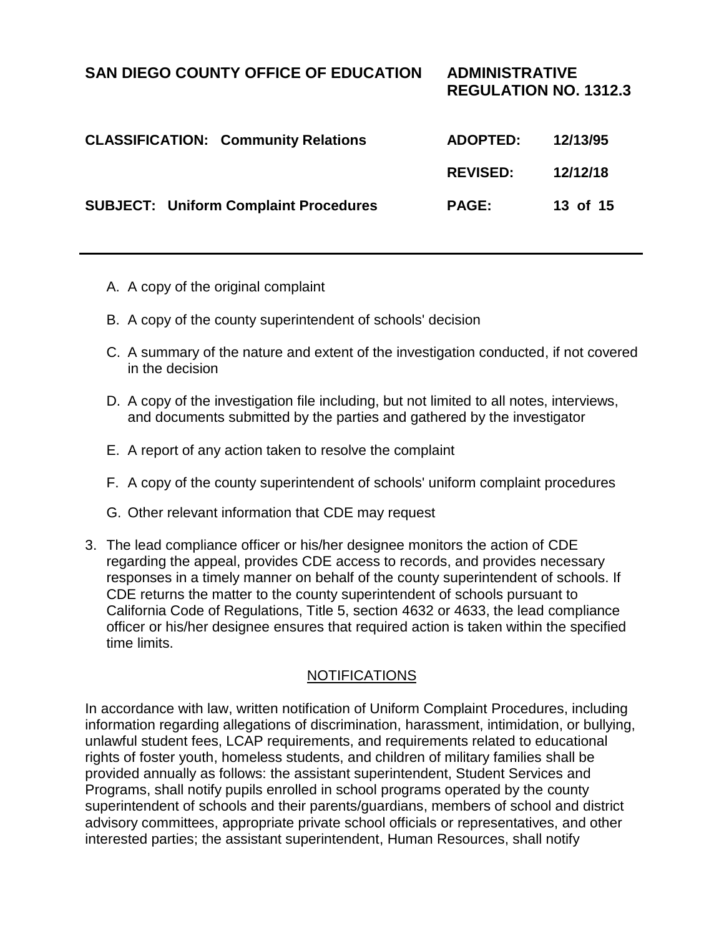**REGULATION NO. 1312.3**

| <b>CLASSIFICATION: Community Relations</b>   | <b>ADOPTED:</b> | 12/13/95 |
|----------------------------------------------|-----------------|----------|
|                                              | <b>REVISED:</b> | 12/12/18 |
| <b>SUBJECT: Uniform Complaint Procedures</b> | <b>PAGE:</b>    | 13 of 15 |

- A. A copy of the original complaint
- B. A copy of the county superintendent of schools' decision
- C. A summary of the nature and extent of the investigation conducted, if not covered in the decision
- D. A copy of the investigation file including, but not limited to all notes, interviews, and documents submitted by the parties and gathered by the investigator
- E. A report of any action taken to resolve the complaint
- F. A copy of the county superintendent of schools' uniform complaint procedures
- G. Other relevant information that CDE may request
- 3. The lead compliance officer or his/her designee monitors the action of CDE regarding the appeal, provides CDE access to records, and provides necessary responses in a timely manner on behalf of the county superintendent of schools. If CDE returns the matter to the county superintendent of schools pursuant to California Code of Regulations, Title 5, section 4632 or 4633, the lead compliance officer or his/her designee ensures that required action is taken within the specified time limits.

### **NOTIFICATIONS**

In accordance with law, written notification of Uniform Complaint Procedures, including information regarding allegations of discrimination, harassment, intimidation, or bullying, unlawful student fees, LCAP requirements, and requirements related to educational rights of foster youth, homeless students, and children of military families shall be provided annually as follows: the assistant superintendent, Student Services and Programs, shall notify pupils enrolled in school programs operated by the county superintendent of schools and their parents/guardians, members of school and district advisory committees, appropriate private school officials or representatives, and other interested parties; the assistant superintendent, Human Resources, shall notify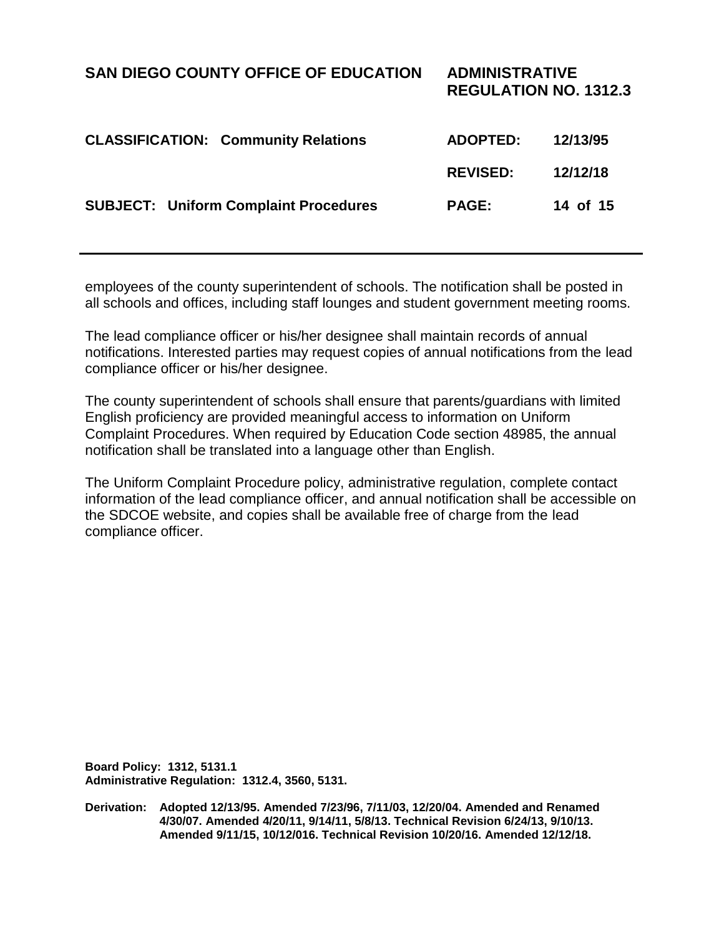### **SAN DIEGO COUNTY OFFICE OF EDUCATION ADMINISTRATIVE REGULATION NO. 1312.3 CLASSIFICATION: Community Relations ADOPTED: 12/13/95 REVISED: 12/12/18 SUBJECT: Uniform Complaint Procedures PAGE: 14 of 15**

employees of the county superintendent of schools. The notification shall be posted in all schools and offices, including staff lounges and student government meeting rooms.

The lead compliance officer or his/her designee shall maintain records of annual notifications. Interested parties may request copies of annual notifications from the lead compliance officer or his/her designee.

The county superintendent of schools shall ensure that parents/guardians with limited English proficiency are provided meaningful access to information on Uniform Complaint Procedures. When required by Education Code section 48985, the annual notification shall be translated into a language other than English.

The Uniform Complaint Procedure policy, administrative regulation, complete contact information of the lead compliance officer, and annual notification shall be accessible on the SDCOE website, and copies shall be available free of charge from the lead compliance officer.

**Board Policy: 1312, 5131.1 Administrative Regulation: 1312.4, 3560, 5131.**

**Derivation: Adopted 12/13/95. Amended 7/23/96, 7/11/03, 12/20/04. Amended and Renamed 4/30/07. Amended 4/20/11, 9/14/11, 5/8/13. Technical Revision 6/24/13, 9/10/13. Amended 9/11/15, 10/12/016. Technical Revision 10/20/16. Amended 12/12/18.**